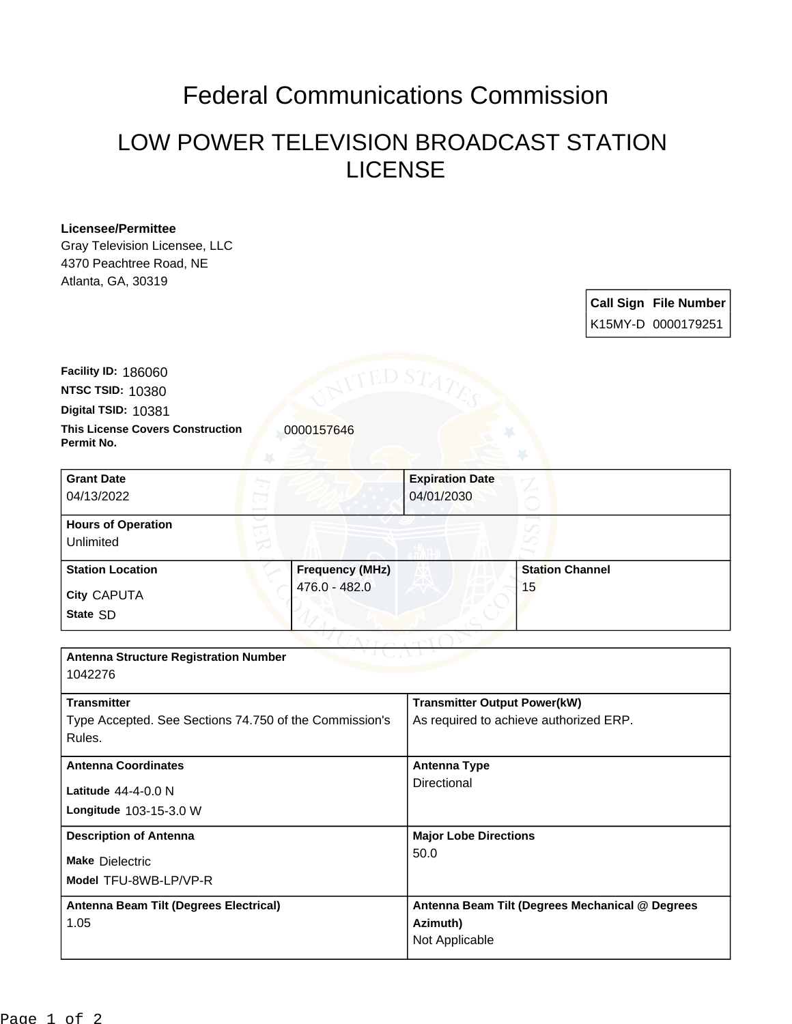## Federal Communications Commission

## LOW POWER TELEVISION BROADCAST STATION LICENSE

## **Licensee/Permittee**

Gray Television Licensee, LLC 4370 Peachtree Road, NE Atlanta, GA, 30319

| <b>Call Sign File Number</b> |
|------------------------------|
| K15MY-D 0000179251           |

**This License Covers Construction 10000157646 Permit No. Digital TSID:** 10381 **NTSC TSID:** 10380 **Facility ID:** 186060

| <b>Grant Date</b><br>04/13/2022        | <b>Expiration Date</b><br>04/01/2030 |  |                        |
|----------------------------------------|--------------------------------------|--|------------------------|
| <b>Hours of Operation</b><br>Unlimited |                                      |  |                        |
| <b>Station Location</b>                | <b>Frequency (MHz)</b>               |  | <b>Station Channel</b> |
| City CAPUTA                            | 476.0 - 482.0                        |  | 15                     |
| State SD                               |                                      |  |                        |

| <b>Antenna Structure Registration Number</b><br>1042276                                |                                                                               |  |  |  |
|----------------------------------------------------------------------------------------|-------------------------------------------------------------------------------|--|--|--|
| <b>Transmitter</b><br>Type Accepted. See Sections 74.750 of the Commission's<br>Rules. | <b>Transmitter Output Power(kW)</b><br>As required to achieve authorized ERP. |  |  |  |
| <b>Antenna Coordinates</b><br>Latitude $44-4-0.0$ N<br><b>Longitude 103-15-3.0 W</b>   | Antenna Type<br>Directional                                                   |  |  |  |
| <b>Description of Antenna</b><br><b>Make Dielectric</b><br>Model TFU-8WB-LP/VP-R       | <b>Major Lobe Directions</b><br>50.0                                          |  |  |  |
| Antenna Beam Tilt (Degrees Electrical)<br>1.05                                         | Antenna Beam Tilt (Degrees Mechanical @ Degrees<br>Azimuth)<br>Not Applicable |  |  |  |